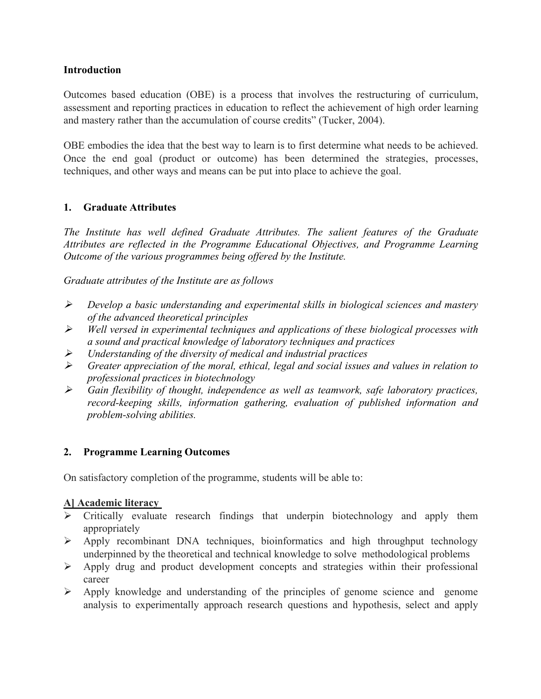### **Introduction**

Outcomes based education (OBE) is a process that involves the restructuring of curriculum, assessment and reporting practices in education to reflect the achievement of high order learning and mastery rather than the accumulation of course credits" (Tucker,2004).

OBE embodies the idea that the best way to learn is to first determine what needs to be achieved. Once the end goal (product or outcome) has been determined the strategies, processes, techniques, and other ways and means can be put into place to achieve the goal.

#### **1. Graduate Attributes**

*The Institute has well defined Graduate Attributes. The salient features of the Graduate Attributes are reflected in the Programme Educational Objectives, and Programme Learning Outcome of the various programmes being offered by the Institute.*

*Graduate attributes of the Institute are as follows*

- *Develop abasic understanding and experimental skills in biological sciences and mastery of the advanced theoretical principles*
- *Well versed in experimental techniques and applications of these biological processes with a sound and practical knowledge of laboratory techniques and practices*
- *Understanding of the diversity of medical and industrial practices*
- *Greater appreciation of the moral, ethical, legal and social issues and values in relation to professional practices in biotechnology*
- *Gain flexibility of thought, independence as well as teamwork, safe laboratory practices, record-keeping skills, information gathering, evaluation of published information and problem-solving abilities.*

## **2. Programme Learning Outcomes**

On satisfactory completion of the programme, students will be able to:

#### **A] Academic literacy**

- $\triangleright$  Critically evaluate research findings that underpin biotechnology and apply them appropriately
- $\triangleright$  Apply recombinant DNA techniques, bioinformatics and high throughput technology underpinned by the theoretical and technical knowledge to solve methodological problems
- $\triangleright$  Apply drug and product development concepts and strategies within their professional career
- $\triangleright$  Apply knowledge and understanding of the principles of genome science and genome analysis to experimentally approach research questions and hypothesis, select and apply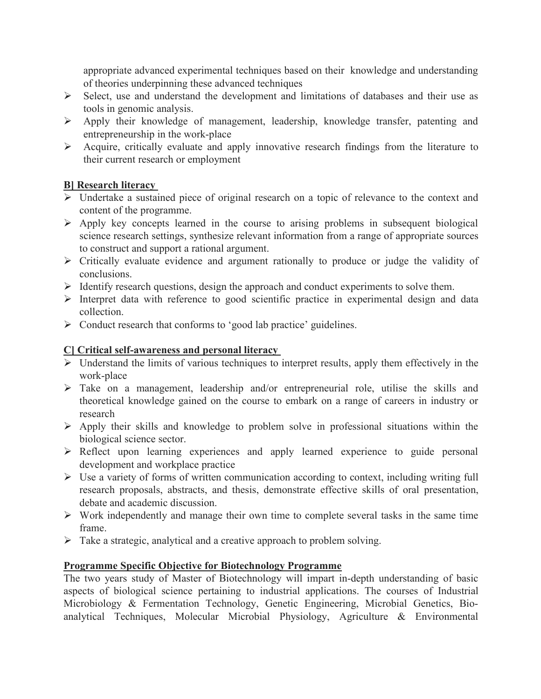appropriate advanced experimental techniques based on their knowledge and understanding of theories underpinning these advanced techniques

- $\triangleright$  Select, use and understand the development and limitations of databases and their use as tools in genomic analysis.
- Apply their knowledge of management, leadership, knowledge transfer, patenting and entrepreneurship in the work-place
- Acquire, critically evaluate and apply innovative research findings from the literature to their current research or employment

## **B] Research literacy**

- Undertake a sustained piece of original research on a topic of relevance to the context and content of the programme.
- $\triangleright$  Apply key concepts learned in the course to arising problems in subsequent biological science research settings, synthesize relevant information from a range of appropriate sources to construct and support a rational argument.
- Critically evaluate evidence and argument rationally to produce or judge the validity of conclusions.
- $\triangleright$  Identify research questions, design the approach and conduct experiments to solve them.
- $\triangleright$  Interpret data with reference to good scientific practice in experimental design and data collection.
- $\triangleright$  Conduct research that conforms to 'good lab practice' guidelines.

# **C] Critical self-awareness and personal literacy**

- $\triangleright$  Understand the limits of various techniques to interpret results, apply them effectively in the work-place
- $\triangleright$  Take on a management, leadership and/or entrepreneurial role, utilise the skills and theoretical knowledge gained on the course to embark on a range of careers in industry or research
- $\triangleright$  Apply their skills and knowledge to problem solve in professional situations within the biological science sector.
- $\triangleright$  Reflect upon learning experiences and apply learned experience to guide personal development and workplace practice
- $\triangleright$  Use a variety of forms of written communication according to context, including writing full research proposals, abstracts, and thesis, demonstrate effective skills of oral presentation, debate and academic discussion.
- $\triangleright$  Work independently and manage their own time to complete several tasks in the same time frame.
- $\triangleright$  Take a strategic, analytical and a creative approach to problem solving.

# **Programme Specific Objective for Biotechnology Programme**

The two years study of Master of Biotechnology will impart in-depth understanding of basic aspects of biological science pertaining to industrial applications. The courses of Industrial Microbiology & Fermentation Technology, Genetic Engineering, Microbial Genetics, Bioanalytical Techniques, Molecular Microbial Physiology, Agriculture & Environmental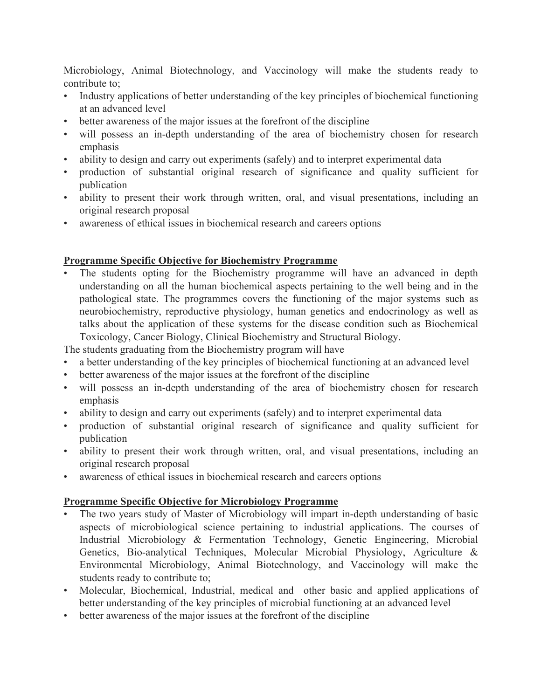Microbiology, Animal Biotechnology, and Vaccinology will make the students ready to contribute to;

- Industry applications of better understanding of the key principles of biochemical functioning at an advanced level
- better awareness of the major issues at the forefront of the discipline
- will possess an in-depth understanding of the area of biochemistry chosen for research emphasis
- ability to design and carry out experiments (safely) and to interpret experimental data
- production of substantial original research of significance and quality sufficient for publication
- ability to present their work through written, oral, and visual presentations, including an original research proposal
- awareness of ethical issues in biochemical research and careers options

#### **Programme Specific Objective for Biochemistry Programme**

The students opting for the Biochemistry programme will have an advanced in depth understanding on all the human biochemical aspects pertaining to the well being and in the pathological state. The programmes covers the functioning of the major systems such as neurobiochemistry, reproductive physiology, human genetics and endocrinology as well as talks about the application of these systems for the disease condition such as Biochemical Toxicology, Cancer Biology, Clinical Biochemistry and Structural Biology.

The students graduating from the Biochemistry program will have

- a better understanding of the key principles of biochemical functioning at an advanced level
- better awareness of the major issues at the forefront of the discipline
- will possess an in-depth understanding of the area of biochemistry chosen for research emphasis
- ability to design and carry out experiments (safely) and to interpret experimental data
- production of substantial original research of significance and quality sufficient for publication
- ability to present their work through written, oral, and visual presentations, including an original research proposal
- awareness of ethical issues in biochemical research and careers options

## **Programme Specific Objective for Microbiology Programme**

- The two years study of Master of Microbiology will impart in-depth understanding of basic aspects of microbiological science pertaining to industrial applications. The courses of Industrial Microbiology & Fermentation Technology, Genetic Engineering, Microbial Genetics, Bio-analytical Techniques, Molecular Microbial Physiology, Agriculture & Environmental Microbiology, Animal Biotechnology, and Vaccinology will make the students ready to contribute to;
- Molecular, Biochemical, Industrial, medical and other basic and applied applications of better understanding of the key principles of microbial functioning at an advanced level
- better awareness of the major issues at the forefront of the discipline